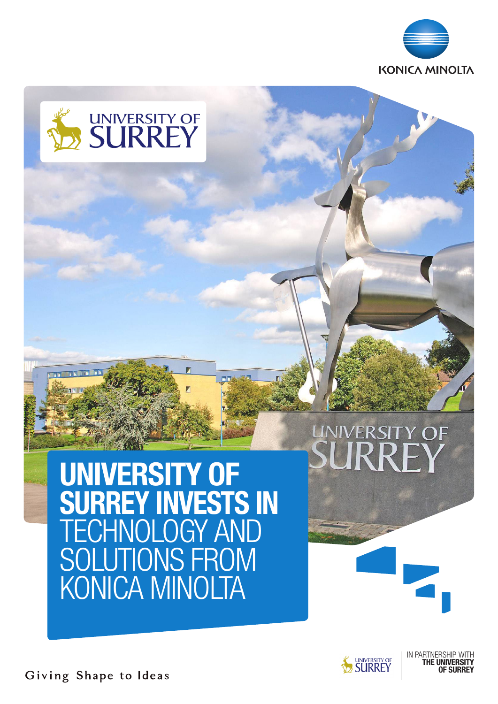



# **INIVERSITY OF**

UNIVERSITY OF SURREY INVESTS IN **ECHNOLOGY AND** SOLUTIONS FROM KONICA MINOLTA



IN PARTNERS THE UNIVERSITY OF SURREY

Giving Shape to Ideas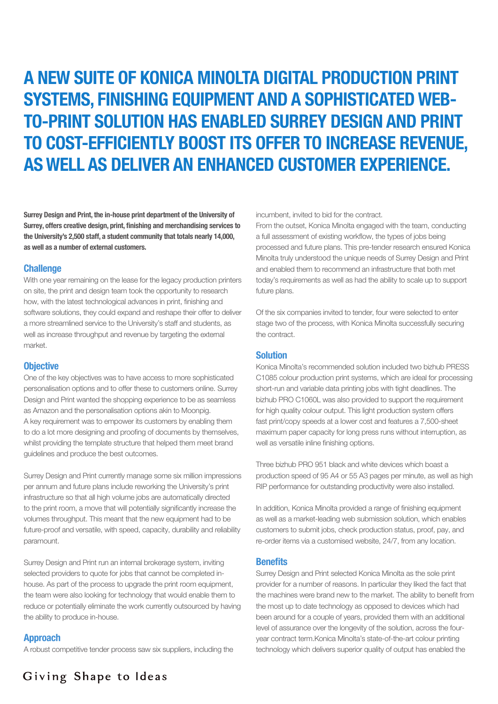## A NEW SUITE OF KONICA MINOLTA DIGITAL PRODUCTION PRINT SYSTEMS, FINISHING EQUIPMENT AND A SOPHISTICATED WEB-TO-PRINT SOLUTION HAS ENABLED SURREY DESIGN AND PRINT TO COST-EFFICIENTLY BOOST ITS OFFER TO INCREASE REVENUE, AS WELL AS DELIVER AN ENHANCED CUSTOMER EXPERIENCE.

Surrey Design and Print, the in-house print department of the University of Surrey, offers creative design, print, finishing and merchandising services to the University's 2,500 staff, a student community that totals nearly 14,000, as well as a number of external customers.

#### **Challenge**

With one year remaining on the lease for the legacy production printers on site, the print and design team took the opportunity to research how, with the latest technological advances in print, finishing and software solutions, they could expand and reshape their offer to deliver a more streamlined service to the University's staff and students, as well as increase throughput and revenue by targeting the external market.

#### **Objective**

One of the key objectives was to have access to more sophisticated personalisation options and to offer these to customers online. Surrey Design and Print wanted the shopping experience to be as seamless as Amazon and the personalisation options akin to Moonpig. A key requirement was to empower its customers by enabling them to do a lot more designing and proofing of documents by themselves, whilst providing the template structure that helped them meet brand guidelines and produce the best outcomes.

Surrey Design and Print currently manage some six million impressions per annum and future plans include reworking the University's print infrastructure so that all high volume jobs are automatically directed to the print room, a move that will potentially significantly increase the volumes throughput. This meant that the new equipment had to be future-proof and versatile, with speed, capacity, durability and reliability paramount.

Surrey Design and Print run an internal brokerage system, inviting selected providers to quote for jobs that cannot be completed inhouse. As part of the process to upgrade the print room equipment, the team were also looking for technology that would enable them to reduce or potentially eliminate the work currently outsourced by having the ability to produce in-house.

#### Approach

A robust competitive tender process saw six suppliers, including the

incumbent, invited to bid for the contract.

From the outset, Konica Minolta engaged with the team, conducting a full assessment of existing workflow, the types of jobs being processed and future plans. This pre-tender research ensured Konica Minolta truly understood the unique needs of Surrey Design and Print and enabled them to recommend an infrastructure that both met today's requirements as well as had the ability to scale up to support future plans.

Of the six companies invited to tender, four were selected to enter stage two of the process, with Konica Minolta successfully securing the contract.

#### Solution

Konica Minolta's recommended solution included two bizhub PRESS C1085 colour production print systems, which are ideal for processing short-run and variable data printing jobs with tight deadlines. The bizhub PRO C1060L was also provided to support the requirement for high quality colour output. This light production system offers fast print/copy speeds at a lower cost and features a 7,500-sheet maximum paper capacity for long press runs without interruption, as well as versatile inline finishing options.

Three bizhub PRO 951 black and white devices which boast a production speed of 95 A4 or 55 A3 pages per minute, as well as high RIP performance for outstanding productivity were also installed.

In addition, Konica Minolta provided a range of finishing equipment as well as a market-leading web submission solution, which enables customers to submit jobs, check production status, proof, pay, and re-order items via a customised website, 24/7, from any location.

#### **Benefits**

Surrey Design and Print selected Konica Minolta as the sole print provider for a number of reasons. In particular they liked the fact that the machines were brand new to the market. The ability to benefit from the most up to date technology as opposed to devices which had been around for a couple of years, provided them with an additional level of assurance over the longevity of the solution, across the fouryear contract term.Konica Minolta's state-of-the-art colour printing technology which delivers superior quality of output has enabled the

Giving Shape to Ideas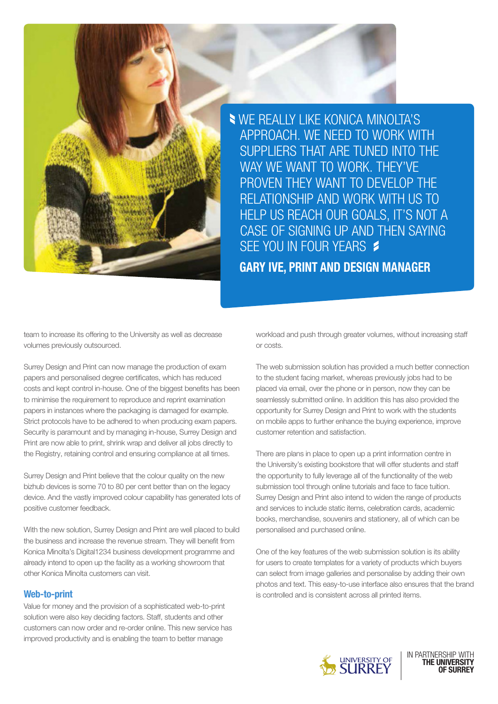

WE REALLY LIKE KONICA MINOLTA'S APPROACH. WE NEED TO WORK WITH SUPPLIERS THAT ARE TUNED INTO THE WAY WE WANT TO WORK. THEY'VE PROVEN THEY WANT TO DEVELOP THE RELATIONSHIP AND WORK WITH US TO HELP US REACH OUR GOALS, IT'S NOT A CASE OF SIGNING UP AND THEN SAYING SFE YOU IN FOUR YEARS \$

GARY IVE, PRINT AND DESIGN MANAGER

team to increase its offering to the University as well as decrease volumes previously outsourced.

Surrey Design and Print can now manage the production of exam papers and personalised degree certificates, which has reduced costs and kept control in-house. One of the biggest benefits has been to minimise the requirement to reproduce and reprint examination papers in instances where the packaging is damaged for example. Strict protocols have to be adhered to when producing exam papers. Security is paramount and by managing in-house, Surrey Design and Print are now able to print, shrink wrap and deliver all jobs directly to the Registry, retaining control and ensuring compliance at all times.

Surrey Design and Print believe that the colour quality on the new bizhub devices is some 70 to 80 per cent better than on the legacy device. And the vastly improved colour capability has generated lots of positive customer feedback.

With the new solution, Surrey Design and Print are well placed to build the business and increase the revenue stream. They will benefit from Konica Minolta's Digital1234 business development programme and already intend to open up the facility as a working showroom that other Konica Minolta customers can visit.

#### Web-to-print

Value for money and the provision of a sophisticated web-to-print solution were also key deciding factors. Staff, students and other customers can now order and re-order online. This new service has improved productivity and is enabling the team to better manage

workload and push through greater volumes, without increasing staff or costs.

The web submission solution has provided a much better connection to the student facing market, whereas previously jobs had to be placed via email, over the phone or in person, now they can be seamlessly submitted online. In addition this has also provided the opportunity for Surrey Design and Print to work with the students on mobile apps to further enhance the buying experience, improve customer retention and satisfaction.

There are plans in place to open up a print information centre in the University's existing bookstore that will offer students and staff the opportunity to fully leverage all of the functionality of the web submission tool through online tutorials and face to face tuition. Surrey Design and Print also intend to widen the range of products and services to include static items, celebration cards, academic books, merchandise, souvenirs and stationery, all of which can be personalised and purchased online.

One of the key features of the web submission solution is its ability for users to create templates for a variety of products which buyers can select from image galleries and personalise by adding their own photos and text. This easy-to-use interface also ensures that the brand is controlled and is consistent across all printed items.



IN PARTNERSHIP WITH THE UNIVERSITY OF SURREY